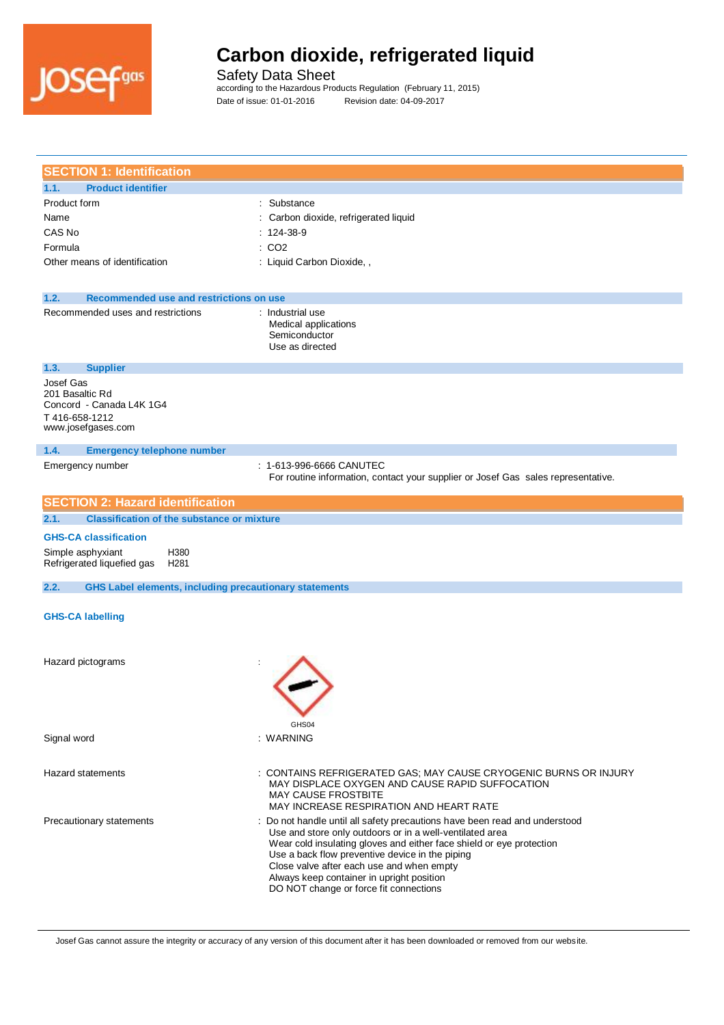

Safety Data Sheet

according to the Hazardous Products Regulation (February 11, 2015) Date of issue: 01-01-2016 Revision date: 04-09-2017

| <b>SECTION 1: Identification</b>                                                                |                                                                                                                                                                                                                                                                                                                                                                                                     |
|-------------------------------------------------------------------------------------------------|-----------------------------------------------------------------------------------------------------------------------------------------------------------------------------------------------------------------------------------------------------------------------------------------------------------------------------------------------------------------------------------------------------|
| <b>Product identifier</b><br>1.1.                                                               |                                                                                                                                                                                                                                                                                                                                                                                                     |
| Product form                                                                                    | : Substance                                                                                                                                                                                                                                                                                                                                                                                         |
| Name                                                                                            | : Carbon dioxide, refrigerated liquid                                                                                                                                                                                                                                                                                                                                                               |
| CAS No                                                                                          | $: 124-38-9$                                                                                                                                                                                                                                                                                                                                                                                        |
| Formula                                                                                         | : CO2                                                                                                                                                                                                                                                                                                                                                                                               |
| Other means of identification                                                                   | : Liquid Carbon Dioxide, ,                                                                                                                                                                                                                                                                                                                                                                          |
| 1.2.<br>Recommended use and restrictions on use                                                 |                                                                                                                                                                                                                                                                                                                                                                                                     |
| Recommended uses and restrictions                                                               | : Industrial use<br>Medical applications<br>Semiconductor<br>Use as directed                                                                                                                                                                                                                                                                                                                        |
| 1.3.<br><b>Supplier</b>                                                                         |                                                                                                                                                                                                                                                                                                                                                                                                     |
| Josef Gas<br>201 Basaltic Rd<br>Concord - Canada L4K 1G4<br>T416-658-1212<br>www.josefgases.com |                                                                                                                                                                                                                                                                                                                                                                                                     |
| 1.4.<br><b>Emergency telephone number</b>                                                       |                                                                                                                                                                                                                                                                                                                                                                                                     |
| Emergency number                                                                                | : 1-613-996-6666 CANUTEC<br>For routine information, contact your supplier or Josef Gas sales representative.                                                                                                                                                                                                                                                                                       |
| <b>SECTION 2: Hazard identification</b>                                                         |                                                                                                                                                                                                                                                                                                                                                                                                     |
| <b>Classification of the substance or mixture</b><br>2.1.                                       |                                                                                                                                                                                                                                                                                                                                                                                                     |
| <b>GHS-CA classification</b>                                                                    |                                                                                                                                                                                                                                                                                                                                                                                                     |
| Simple asphyxiant<br>H380                                                                       |                                                                                                                                                                                                                                                                                                                                                                                                     |
| Refrigerated liquefied gas<br>H <sub>281</sub>                                                  |                                                                                                                                                                                                                                                                                                                                                                                                     |
| 2.2.<br><b>GHS Label elements, including precautionary statements</b>                           |                                                                                                                                                                                                                                                                                                                                                                                                     |
| <b>GHS-CA labelling</b>                                                                         |                                                                                                                                                                                                                                                                                                                                                                                                     |
| Hazard pictograms                                                                               | GHS04                                                                                                                                                                                                                                                                                                                                                                                               |
| Signal word                                                                                     | : WARNING                                                                                                                                                                                                                                                                                                                                                                                           |
| <b>Hazard statements</b>                                                                        | :CONTAINS REFRIGERATED GAS; MAY CAUSE CRYOGENIC BURNS OR INJURY<br>MAY DISPLACE OXYGEN AND CAUSE RAPID SUFFOCATION<br><b>MAY CAUSE FROSTBITE</b><br>MAY INCREASE RESPIRATION AND HEART RATE                                                                                                                                                                                                         |
| Precautionary statements                                                                        | Do not handle until all safety precautions have been read and understood<br>Use and store only outdoors or in a well-ventilated area<br>Wear cold insulating gloves and either face shield or eye protection<br>Use a back flow preventive device in the piping<br>Close valve after each use and when empty<br>Always keep container in upright position<br>DO NOT change or force fit connections |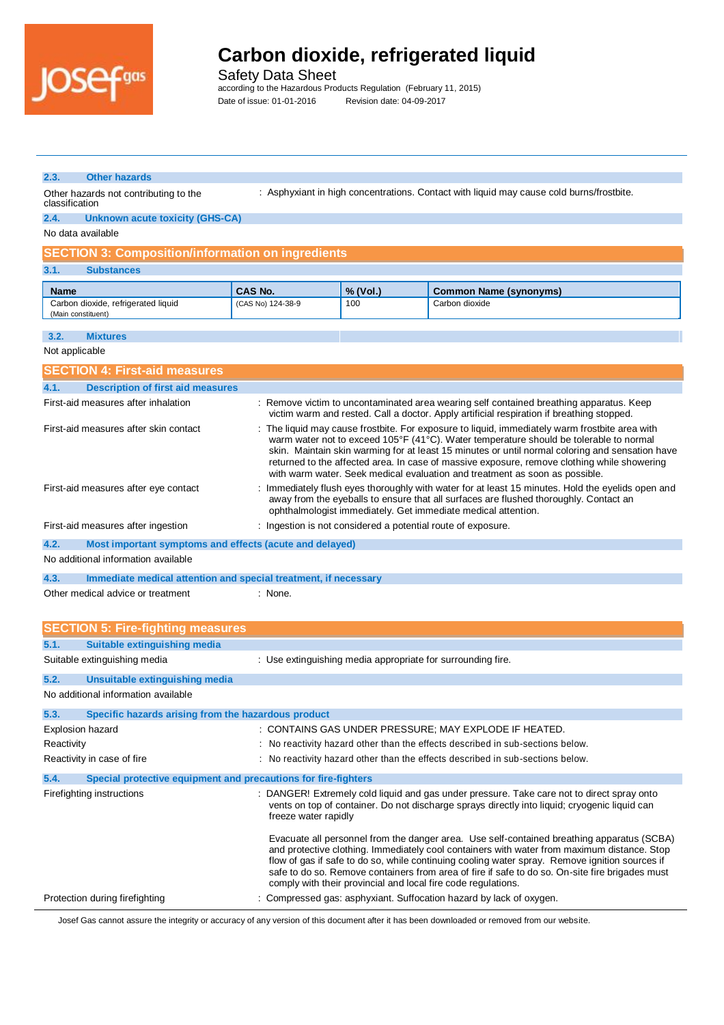

Safety Data Sheet

according to the Hazardous Products Regulation (February 11, 2015) Date of issue: 01-01-2016 Revision date: 04-09-2017

| 2.3.           | <b>Other hazards</b>                                            |                      |                                                              |                                                                                                                                                                                                                                                                                                                                                                                                                                                                           |
|----------------|-----------------------------------------------------------------|----------------------|--------------------------------------------------------------|---------------------------------------------------------------------------------------------------------------------------------------------------------------------------------------------------------------------------------------------------------------------------------------------------------------------------------------------------------------------------------------------------------------------------------------------------------------------------|
| classification | Other hazards not contributing to the                           |                      |                                                              | : Asphyxiant in high concentrations. Contact with liquid may cause cold burns/frostbite.                                                                                                                                                                                                                                                                                                                                                                                  |
| 2.4.           | Unknown acute toxicity (GHS-CA)                                 |                      |                                                              |                                                                                                                                                                                                                                                                                                                                                                                                                                                                           |
|                | No data available                                               |                      |                                                              |                                                                                                                                                                                                                                                                                                                                                                                                                                                                           |
|                | <b>SECTION 3: Composition/information on ingredients</b>        |                      |                                                              |                                                                                                                                                                                                                                                                                                                                                                                                                                                                           |
| 3.1.           | <b>Substances</b>                                               |                      |                                                              |                                                                                                                                                                                                                                                                                                                                                                                                                                                                           |
| <b>Name</b>    |                                                                 | <b>CAS No.</b>       | % (Vol.)                                                     | <b>Common Name (synonyms)</b>                                                                                                                                                                                                                                                                                                                                                                                                                                             |
|                | Carbon dioxide, refrigerated liquid                             | (CAS No) 124-38-9    | 100                                                          | Carbon dioxide                                                                                                                                                                                                                                                                                                                                                                                                                                                            |
|                | (Main constituent)                                              |                      |                                                              |                                                                                                                                                                                                                                                                                                                                                                                                                                                                           |
| 3.2.           | <b>Mixtures</b>                                                 |                      |                                                              |                                                                                                                                                                                                                                                                                                                                                                                                                                                                           |
| Not applicable |                                                                 |                      |                                                              |                                                                                                                                                                                                                                                                                                                                                                                                                                                                           |
|                | <b>SECTION 4: First-aid measures</b>                            |                      |                                                              |                                                                                                                                                                                                                                                                                                                                                                                                                                                                           |
| 4.1.           | <b>Description of first aid measures</b>                        |                      |                                                              |                                                                                                                                                                                                                                                                                                                                                                                                                                                                           |
|                | First-aid measures after inhalation                             |                      |                                                              | : Remove victim to uncontaminated area wearing self contained breathing apparatus. Keep<br>victim warm and rested. Call a doctor. Apply artificial respiration if breathing stopped.                                                                                                                                                                                                                                                                                      |
|                | First-aid measures after skin contact                           |                      |                                                              | : The liquid may cause frostbite. For exposure to liquid, immediately warm frostbite area with<br>warm water not to exceed 105°F (41°C). Water temperature should be tolerable to normal<br>skin. Maintain skin warming for at least 15 minutes or until normal coloring and sensation have<br>returned to the affected area. In case of massive exposure, remove clothing while showering<br>with warm water. Seek medical evaluation and treatment as soon as possible. |
|                | First-aid measures after eye contact                            |                      |                                                              | Immediately flush eyes thoroughly with water for at least 15 minutes. Hold the eyelids open and<br>away from the eyeballs to ensure that all surfaces are flushed thoroughly. Contact an<br>ophthalmologist immediately. Get immediate medical attention.                                                                                                                                                                                                                 |
|                | First-aid measures after ingestion                              |                      | : Ingestion is not considered a potential route of exposure. |                                                                                                                                                                                                                                                                                                                                                                                                                                                                           |
| 4.2.           | Most important symptoms and effects (acute and delayed)         |                      |                                                              |                                                                                                                                                                                                                                                                                                                                                                                                                                                                           |
|                | No additional information available                             |                      |                                                              |                                                                                                                                                                                                                                                                                                                                                                                                                                                                           |
| 4.3.           | Immediate medical attention and special treatment, if necessary |                      |                                                              |                                                                                                                                                                                                                                                                                                                                                                                                                                                                           |
|                | Other medical advice or treatment                               | : None.              |                                                              |                                                                                                                                                                                                                                                                                                                                                                                                                                                                           |
|                |                                                                 |                      |                                                              |                                                                                                                                                                                                                                                                                                                                                                                                                                                                           |
|                | <b>SECTION 5: Fire-fighting measures</b>                        |                      |                                                              |                                                                                                                                                                                                                                                                                                                                                                                                                                                                           |
| 5.1.           | <b>Suitable extinguishing media</b>                             |                      |                                                              |                                                                                                                                                                                                                                                                                                                                                                                                                                                                           |
|                | Suitable extinguishing media                                    |                      | : Use extinguishing media appropriate for surrounding fire.  |                                                                                                                                                                                                                                                                                                                                                                                                                                                                           |
| 5.2.           | Unsuitable extinguishing media                                  |                      |                                                              |                                                                                                                                                                                                                                                                                                                                                                                                                                                                           |
|                | No additional information available                             |                      |                                                              |                                                                                                                                                                                                                                                                                                                                                                                                                                                                           |
|                |                                                                 |                      |                                                              |                                                                                                                                                                                                                                                                                                                                                                                                                                                                           |
| 5.3.           | Specific hazards arising from the hazardous product             |                      |                                                              |                                                                                                                                                                                                                                                                                                                                                                                                                                                                           |
| Reactivity     | Explosion hazard                                                |                      |                                                              | : CONTAINS GAS UNDER PRESSURE; MAY EXPLODE IF HEATED.<br>: No reactivity hazard other than the effects described in sub-sections below.                                                                                                                                                                                                                                                                                                                                   |
|                | Reactivity in case of fire                                      |                      |                                                              | : No reactivity hazard other than the effects described in sub-sections below.                                                                                                                                                                                                                                                                                                                                                                                            |
|                |                                                                 |                      |                                                              |                                                                                                                                                                                                                                                                                                                                                                                                                                                                           |
| 5.4.           | Special protective equipment and precautions for fire-fighters  |                      |                                                              |                                                                                                                                                                                                                                                                                                                                                                                                                                                                           |
|                | Firefighting instructions                                       | freeze water rapidly |                                                              | : DANGER! Extremely cold liquid and gas under pressure. Take care not to direct spray onto<br>vents on top of container. Do not discharge sprays directly into liquid; cryogenic liquid can                                                                                                                                                                                                                                                                               |
|                |                                                                 |                      |                                                              | Evacuate all personnel from the danger area. Use self-contained breathing apparatus (SCBA)<br>and protective clothing. Immediately cool containers with water from maximum distance. Stop                                                                                                                                                                                                                                                                                 |

comply with their provincial and local fire code regulations. Protection during firefighting : Compressed gas: asphyxiant. Suffocation hazard by lack of oxygen.

Josef Gas cannot assure the integrity or accuracy of any version of this document after it has been downloaded or removed from our website.

flow of gas if safe to do so, while continuing cooling water spray. Remove ignition sources if safe to do so. Remove containers from area of fire if safe to do so. On-site fire brigades must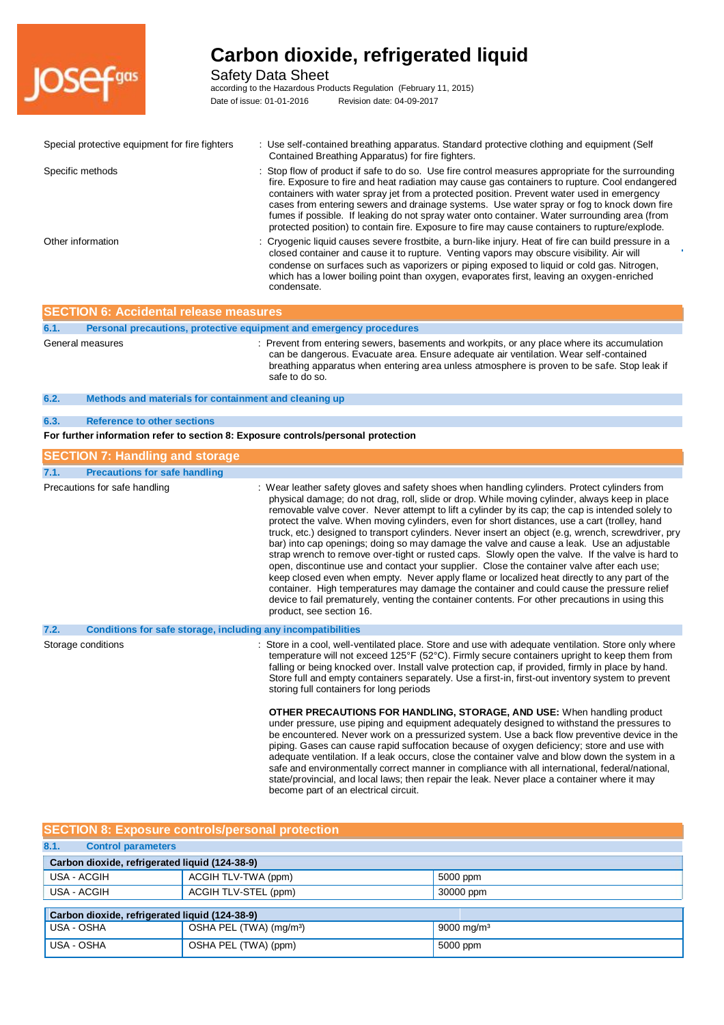

### Safety Data Sheet

according to the Hazardous Products Regulation (February 11, 2015) Date of issue: 01-01-2016 Revision date: 04-09-2017

| Special protective equipment for fire fighters                                    | : Use self-contained breathing apparatus. Standard protective clothing and equipment (Self<br>Contained Breathing Apparatus) for fire fighters.                                                                                                                                                                                                                                                                                                                                                                                                                                                                                                                                                                                                                                                                                                                                                                                                                                                                                                                                                                                         |
|-----------------------------------------------------------------------------------|-----------------------------------------------------------------------------------------------------------------------------------------------------------------------------------------------------------------------------------------------------------------------------------------------------------------------------------------------------------------------------------------------------------------------------------------------------------------------------------------------------------------------------------------------------------------------------------------------------------------------------------------------------------------------------------------------------------------------------------------------------------------------------------------------------------------------------------------------------------------------------------------------------------------------------------------------------------------------------------------------------------------------------------------------------------------------------------------------------------------------------------------|
| Specific methods                                                                  | Stop flow of product if safe to do so. Use fire control measures appropriate for the surrounding<br>fire. Exposure to fire and heat radiation may cause gas containers to rupture. Cool endangered<br>containers with water spray jet from a protected position. Prevent water used in emergency<br>cases from entering sewers and drainage systems. Use water spray or fog to knock down fire<br>fumes if possible. If leaking do not spray water onto container. Water surrounding area (from<br>protected position) to contain fire. Exposure to fire may cause containers to rupture/explode.                                                                                                                                                                                                                                                                                                                                                                                                                                                                                                                                       |
| Other information                                                                 | : Cryogenic liquid causes severe frostbite, a burn-like injury. Heat of fire can build pressure in a<br>closed container and cause it to rupture. Venting vapors may obscure visibility. Air will<br>condense on surfaces such as vaporizers or piping exposed to liquid or cold gas. Nitrogen,<br>which has a lower boiling point than oxygen, evaporates first, leaving an oxygen-enriched<br>condensate.                                                                                                                                                                                                                                                                                                                                                                                                                                                                                                                                                                                                                                                                                                                             |
| <b>SECTION 6: Accidental release measures</b>                                     |                                                                                                                                                                                                                                                                                                                                                                                                                                                                                                                                                                                                                                                                                                                                                                                                                                                                                                                                                                                                                                                                                                                                         |
| 6.1.<br>Personal precautions, protective equipment and emergency procedures       |                                                                                                                                                                                                                                                                                                                                                                                                                                                                                                                                                                                                                                                                                                                                                                                                                                                                                                                                                                                                                                                                                                                                         |
| General measures                                                                  | : Prevent from entering sewers, basements and workpits, or any place where its accumulation<br>can be dangerous. Evacuate area. Ensure adequate air ventilation. Wear self-contained<br>breathing apparatus when entering area unless atmosphere is proven to be safe. Stop leak if<br>safe to do so.                                                                                                                                                                                                                                                                                                                                                                                                                                                                                                                                                                                                                                                                                                                                                                                                                                   |
| 6.2.<br>Methods and materials for containment and cleaning up                     |                                                                                                                                                                                                                                                                                                                                                                                                                                                                                                                                                                                                                                                                                                                                                                                                                                                                                                                                                                                                                                                                                                                                         |
| <b>Reference to other sections</b><br>6.3.                                        |                                                                                                                                                                                                                                                                                                                                                                                                                                                                                                                                                                                                                                                                                                                                                                                                                                                                                                                                                                                                                                                                                                                                         |
| For further information refer to section 8: Exposure controls/personal protection |                                                                                                                                                                                                                                                                                                                                                                                                                                                                                                                                                                                                                                                                                                                                                                                                                                                                                                                                                                                                                                                                                                                                         |
| <b>SECTION 7: Handling and storage</b>                                            |                                                                                                                                                                                                                                                                                                                                                                                                                                                                                                                                                                                                                                                                                                                                                                                                                                                                                                                                                                                                                                                                                                                                         |
| 7.1.<br><b>Precautions for safe handling</b>                                      |                                                                                                                                                                                                                                                                                                                                                                                                                                                                                                                                                                                                                                                                                                                                                                                                                                                                                                                                                                                                                                                                                                                                         |
| Precautions for safe handling                                                     | : Wear leather safety gloves and safety shoes when handling cylinders. Protect cylinders from<br>physical damage; do not drag, roll, slide or drop. While moving cylinder, always keep in place<br>removable valve cover. Never attempt to lift a cylinder by its cap; the cap is intended solely to<br>protect the valve. When moving cylinders, even for short distances, use a cart (trolley, hand<br>truck, etc.) designed to transport cylinders. Never insert an object (e.g, wrench, screwdriver, pry<br>bar) into cap openings; doing so may damage the valve and cause a leak. Use an adjustable<br>strap wrench to remove over-tight or rusted caps. Slowly open the valve. If the valve is hard to<br>open, discontinue use and contact your supplier. Close the container valve after each use;<br>keep closed even when empty. Never apply flame or localized heat directly to any part of the<br>container. High temperatures may damage the container and could cause the pressure relief<br>device to fail prematurely, venting the container contents. For other precautions in using this<br>product, see section 16. |
| 7.2.<br>Conditions for safe storage, including any incompatibilities              |                                                                                                                                                                                                                                                                                                                                                                                                                                                                                                                                                                                                                                                                                                                                                                                                                                                                                                                                                                                                                                                                                                                                         |
| Storage conditions                                                                | : Store in a cool, well-ventilated place. Store and use with adequate ventilation. Store only where<br>temperature will not exceed 125°F (52°C). Firmly secure containers upright to keep them from<br>falling or being knocked over. Install valve protection cap, if provided, firmly in place by hand.<br>Store full and empty containers separately. Use a first-in, first-out inventory system to prevent<br>storing full containers for long periods                                                                                                                                                                                                                                                                                                                                                                                                                                                                                                                                                                                                                                                                              |
|                                                                                   | <b>OTHER PRECAUTIONS FOR HANDLING, STORAGE, AND USE:</b> When handling product<br>under pressure, use piping and equipment adequately designed to withstand the pressures to<br>be encountered. Never work on a pressurized system. Use a back flow preventive device in the<br>piping. Gases can cause rapid suffocation because of oxygen deficiency; store and use with<br>adequate ventilation. If a leak occurs, close the container valve and blow down the system in a<br>safe and environmentally correct manner in compliance with all international, federal/national,<br>state/provincial, and local laws; then repair the leak. Never place a container where it may<br>become part of an electrical circuit.                                                                                                                                                                                                                                                                                                                                                                                                               |

### **SECTION 8: Exposure controls/personal protection**

| 8.1.<br><b>Control parameters</b>              |                                                |                        |  |
|------------------------------------------------|------------------------------------------------|------------------------|--|
|                                                | Carbon dioxide, refrigerated liquid (124-38-9) |                        |  |
| USA - ACGIH                                    | ACGIH TLV-TWA (ppm)                            | 5000 ppm               |  |
| USA - ACGIH                                    | ACGIH TLV-STEL (ppm)                           | 30000 ppm              |  |
|                                                |                                                |                        |  |
| Carbon dioxide, refrigerated liquid (124-38-9) |                                                |                        |  |
| USA - OSHA                                     | OSHA PEL (TWA) (mg/m <sup>3</sup> )            | 9000 mg/m <sup>3</sup> |  |
| USA - OSHA                                     | OSHA PEL (TWA) (ppm)                           | 5000 ppm               |  |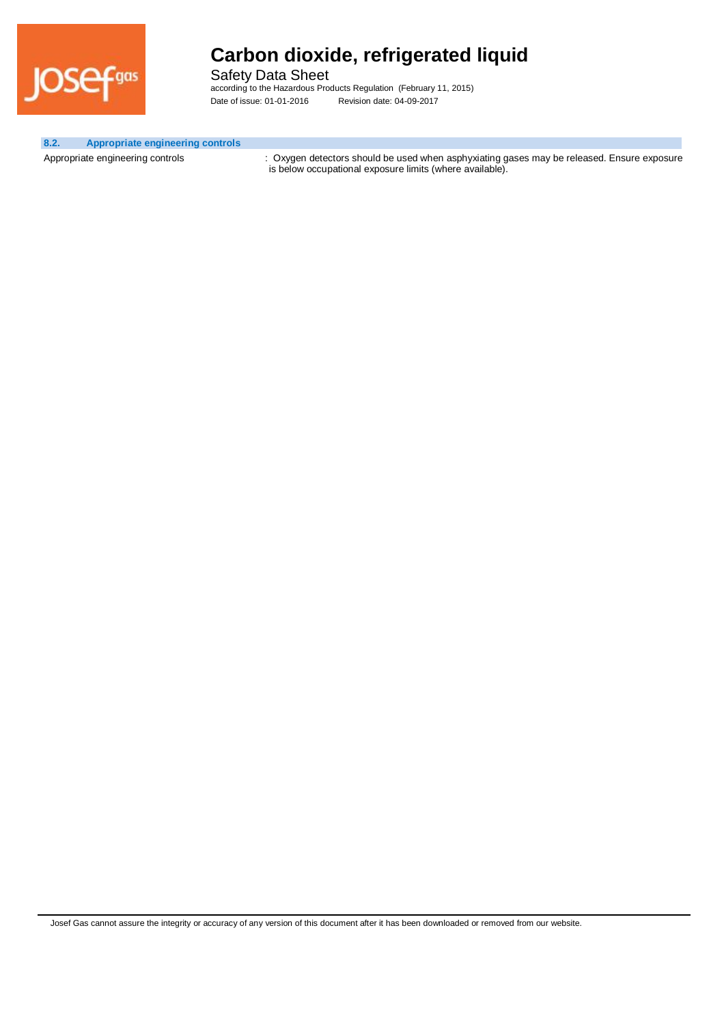

Safety Data Sheet according to the Hazardous Products Regulation (February 11, 2015) Date of issue: 01-01-2016 Revision date: 04-09-2017

#### **8.2. Appropriate engineering controls**

Appropriate engineering controls : Oxygen detectors should be used when asphyxiating gases may be released. Ensure exposure is below occupational exposure limits (where available).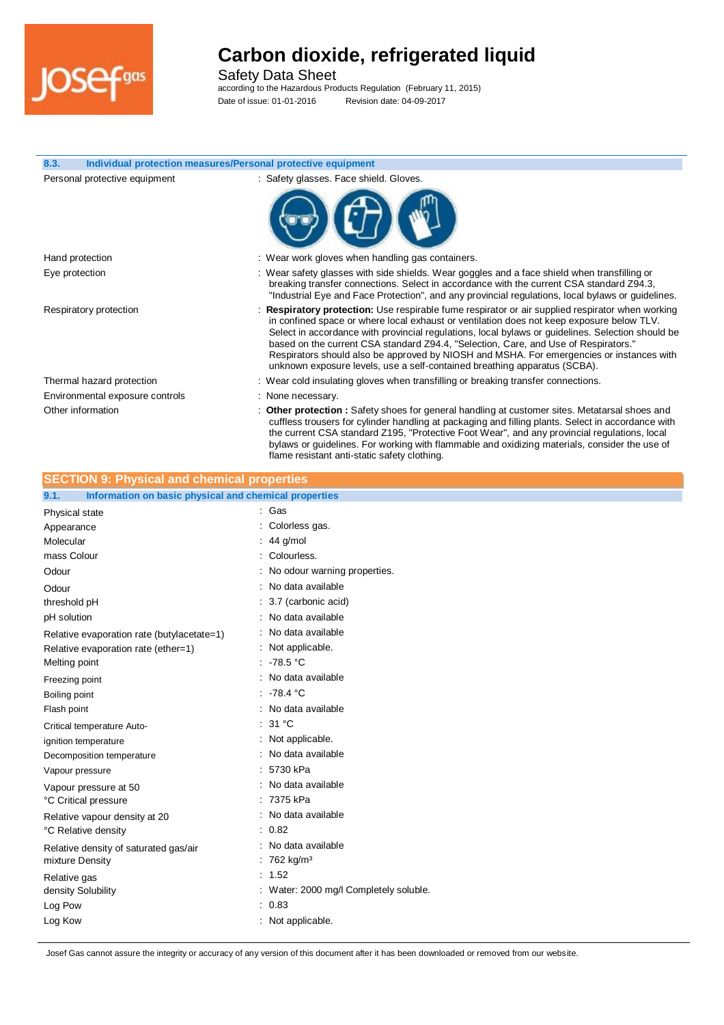

Safety Data Sheet

according to the Hazardous Products Regulation (February 11, 2015) Date of issue: 01-01-2016 Revision date: 04-09-2017

| 8.3.<br>Individual protection measures/Personal protective equipment |                                                                                                                                                                                                                                                                                                                                                                                                                                                                                                                                                                         |
|----------------------------------------------------------------------|-------------------------------------------------------------------------------------------------------------------------------------------------------------------------------------------------------------------------------------------------------------------------------------------------------------------------------------------------------------------------------------------------------------------------------------------------------------------------------------------------------------------------------------------------------------------------|
| Personal protective equipment                                        | : Safety glasses. Face shield. Gloves.                                                                                                                                                                                                                                                                                                                                                                                                                                                                                                                                  |
| Hand protection                                                      | : Wear work gloves when handling gas containers.                                                                                                                                                                                                                                                                                                                                                                                                                                                                                                                        |
| Eye protection                                                       | : Wear safety glasses with side shields. Wear goggles and a face shield when transfilling or<br>breaking transfer connections. Select in accordance with the current CSA standard Z94.3,<br>"Industrial Eye and Face Protection", and any provincial regulations, local bylaws or guidelines.                                                                                                                                                                                                                                                                           |
| Respiratory protection                                               | <b>Respiratory protection:</b> Use respirable fume respirator or air supplied respirator when working<br>in confined space or where local exhaust or ventilation does not keep exposure below TLV.<br>Select in accordance with provincial regulations, local bylaws or guidelines. Selection should be<br>based on the current CSA standard Z94.4, "Selection, Care, and Use of Respirators."<br>Respirators should also be approved by NIOSH and MSHA. For emergencies or instances with<br>unknown exposure levels, use a self-contained breathing apparatus (SCBA). |
| Thermal hazard protection                                            | : Wear cold insulating gloves when transfilling or breaking transfer connections.                                                                                                                                                                                                                                                                                                                                                                                                                                                                                       |
| Environmental exposure controls                                      | : None necessary.                                                                                                                                                                                                                                                                                                                                                                                                                                                                                                                                                       |
| Other information                                                    | : Other protection : Safety shoes for general handling at customer sites. Metatarsal shoes and<br>cuffless trousers for cylinder handling at packaging and filling plants. Select in accordance with<br>the current CSA standard Z195, "Protective Foot Wear", and any provincial regulations, local<br>bylaws or guidelines. For working with flammable and oxidizing materials, consider the use of<br>flame resistant anti-static safety clothing.                                                                                                                   |
| <b>SECTION 9: Physical and chemical properties</b>                   |                                                                                                                                                                                                                                                                                                                                                                                                                                                                                                                                                                         |
| Information on basic physical and chemical properties<br>9.1.        |                                                                                                                                                                                                                                                                                                                                                                                                                                                                                                                                                                         |

| 9.1.<br>Information on basic physical and chemical properties |                                      |
|---------------------------------------------------------------|--------------------------------------|
| Physical state                                                | : Gas                                |
| Appearance                                                    | Colorless gas.                       |
| Molecular                                                     | $: 44$ g/mol                         |
| mass Colour                                                   | Colourless.                          |
| Odour                                                         | No odour warning properties.         |
| Odour                                                         | No data available                    |
| threshold pH                                                  | 3.7 (carbonic acid)                  |
| pH solution                                                   | No data available                    |
| Relative evaporation rate (butylacetate=1)                    | No data available                    |
| Relative evaporation rate (ether=1)                           | Not applicable.                      |
| Melting point                                                 | : 78.5 °C                            |
| Freezing point                                                | : No data available                  |
| Boiling point                                                 | .78.4 °C                             |
| Flash point                                                   | : No data available                  |
| Critical temperature Auto-                                    | 31 °C                                |
| ignition temperature                                          | Not applicable.                      |
| Decomposition temperature                                     | No data available                    |
| Vapour pressure                                               | 5730 kPa                             |
| Vapour pressure at 50                                         | No data available                    |
| °C Critical pressure                                          | 7375 kPa                             |
| Relative vapour density at 20                                 | : No data available                  |
| °C Relative density                                           | 0.82                                 |
| Relative density of saturated gas/air                         | No data available                    |
| mixture Density                                               | 762 kg/m <sup>3</sup>                |
| Relative gas                                                  | : 1.52                               |
| density Solubility                                            | Water: 2000 mg/l Completely soluble. |
| Log Pow                                                       | : 0.83                               |
| Log Kow                                                       | : Not applicable.                    |
|                                                               |                                      |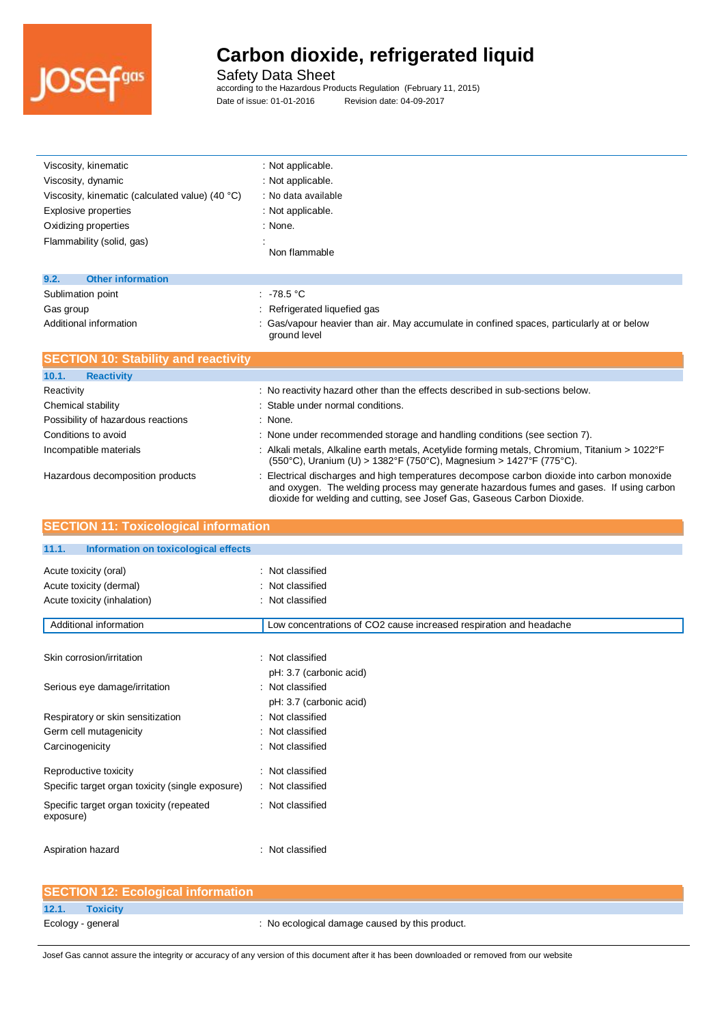

Safety Data Sheet

according to the Hazardous Products Regulation (February 11, 2015) Date of issue: 01-01-2016 Revision date: 04-09-2017

| Viscosity, kinematic                            | : Not applicable.                                                                                          |
|-------------------------------------------------|------------------------------------------------------------------------------------------------------------|
| Viscosity, dynamic                              | : Not applicable.                                                                                          |
| Viscosity, kinematic (calculated value) (40 °C) | : No data available                                                                                        |
| Explosive properties                            | : Not applicable.                                                                                          |
| Oxidizing properties                            | : None.                                                                                                    |
| Flammability (solid, gas)                       | Non flammable                                                                                              |
| 9.2.<br><b>Other information</b>                |                                                                                                            |
| Sublimation point                               | .78.5 °C                                                                                                   |
| Gas group                                       | : Refrigerated liquefied gas                                                                               |
| Additional information                          | : Gas/vapour heavier than air. May accumulate in confined spaces, particularly at or below<br>ground level |

| <b>SECTION 10: Stability and reactivity</b> |                                                                                                                                                                                                                                                                   |
|---------------------------------------------|-------------------------------------------------------------------------------------------------------------------------------------------------------------------------------------------------------------------------------------------------------------------|
| 10.1.<br><b>Reactivity</b>                  |                                                                                                                                                                                                                                                                   |
| Reactivity                                  | : No reactivity hazard other than the effects described in sub-sections below.                                                                                                                                                                                    |
| Chemical stability                          | : Stable under normal conditions.                                                                                                                                                                                                                                 |
| Possibility of hazardous reactions          | : None.                                                                                                                                                                                                                                                           |
| Conditions to avoid                         | : None under recommended storage and handling conditions (see section 7).                                                                                                                                                                                         |
| Incompatible materials                      | : Alkali metals, Alkaline earth metals, Acetylide forming metals, Chromium, Titanium > 1022°F<br>$(550^{\circ}$ C), Uranium (U) > 1382°F (750°C), Magnesium > 1427°F (775°C).                                                                                     |
| Hazardous decomposition products            | : Electrical discharges and high temperatures decompose carbon dioxide into carbon monoxide<br>and oxygen. The welding process may generate hazardous fumes and gases. If using carbon<br>dioxide for welding and cutting, see Josef Gas, Gaseous Carbon Dioxide. |

| <b>SECTION 11: Toxicological information</b>          |                                                                    |
|-------------------------------------------------------|--------------------------------------------------------------------|
| 11.1.<br>Information on toxicological effects         |                                                                    |
| Acute toxicity (oral)                                 | : Not classified                                                   |
| Acute toxicity (dermal)                               | : Not classified                                                   |
| Acute toxicity (inhalation)                           | : Not classified                                                   |
| Additional information                                | Low concentrations of CO2 cause increased respiration and headache |
| Skin corrosion/irritation                             | : Not classified<br>pH: 3.7 (carbonic acid)                        |
| Serious eye damage/irritation                         | : Not classified<br>pH: 3.7 (carbonic acid)                        |
| Respiratory or skin sensitization                     | : Not classified                                                   |
| Germ cell mutagenicity                                | : Not classified                                                   |
| Carcinogenicity                                       | : Not classified                                                   |
| Reproductive toxicity                                 | : Not classified                                                   |
| Specific target organ toxicity (single exposure)      | : Not classified                                                   |
| Specific target organ toxicity (repeated<br>exposure) | : Not classified                                                   |
| Aspiration hazard                                     | : Not classified                                                   |
| <b>SECTION 12: Ecological information</b>             |                                                                    |

|                   | <b>SECTION 12: Ecological information</b> |                                                |
|-------------------|-------------------------------------------|------------------------------------------------|
| 12.1.             | <b>Toxicity</b>                           |                                                |
| Ecology - general |                                           | : No ecological damage caused by this product. |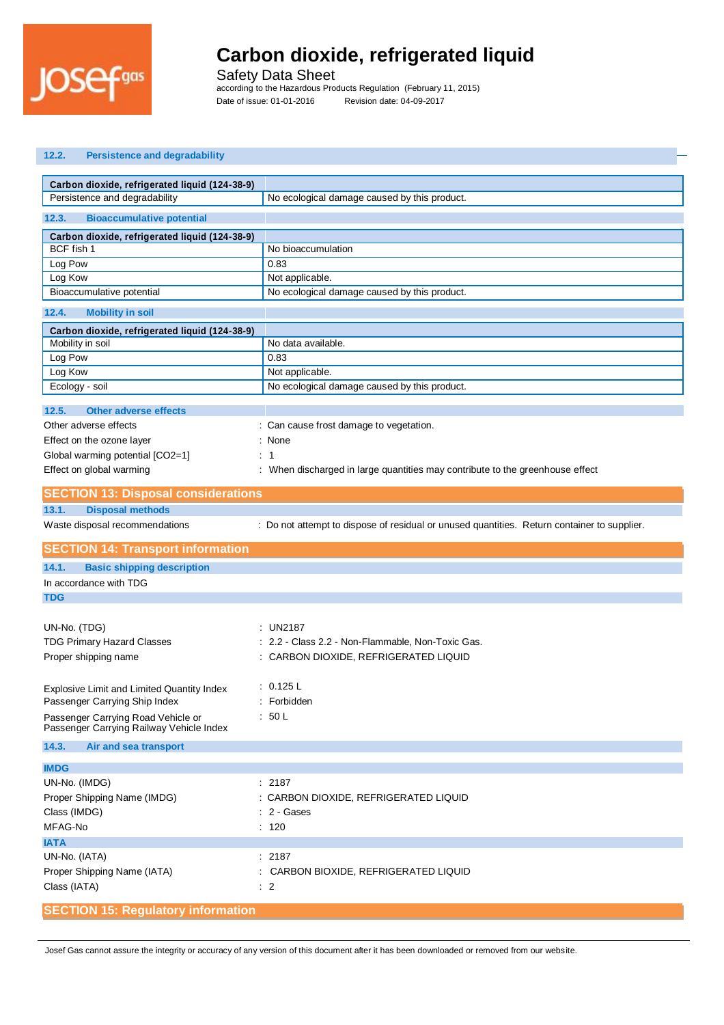

Safety Data Sheet

according to the Hazardous Products Regulation (February 11, 2015) Date of issue: 01-01-2016 Revision date: 04-09-2017

| <b>Persistence and degradability</b><br>12.2.                                   |                                                                                             |
|---------------------------------------------------------------------------------|---------------------------------------------------------------------------------------------|
|                                                                                 |                                                                                             |
| Carbon dioxide, refrigerated liquid (124-38-9)<br>Persistence and degradability |                                                                                             |
|                                                                                 | No ecological damage caused by this product.                                                |
| 12.3.<br><b>Bioaccumulative potential</b>                                       |                                                                                             |
| Carbon dioxide, refrigerated liquid (124-38-9)                                  |                                                                                             |
| BCF fish 1                                                                      | No bioaccumulation                                                                          |
| Log Pow                                                                         | 0.83                                                                                        |
| Log Kow                                                                         | Not applicable.                                                                             |
| Bioaccumulative potential                                                       | No ecological damage caused by this product.                                                |
| <b>Mobility in soil</b><br>12.4.                                                |                                                                                             |
| Carbon dioxide, refrigerated liquid (124-38-9)                                  |                                                                                             |
| Mobility in soil                                                                | No data available.                                                                          |
| Log Pow                                                                         | 0.83                                                                                        |
| Log Kow                                                                         | Not applicable.                                                                             |
| Ecology - soil                                                                  | No ecological damage caused by this product.                                                |
|                                                                                 |                                                                                             |
| 12.5.<br><b>Other adverse effects</b>                                           |                                                                                             |
| Other adverse effects                                                           | : Can cause frost damage to vegetation.                                                     |
| Effect on the ozone layer                                                       | : None                                                                                      |
| Global warming potential [CO2=1]                                                | $\therefore$ 1                                                                              |
| Effect on global warming                                                        | : When discharged in large quantities may contribute to the greenhouse effect               |
| <b>SECTION 13: Disposal considerations</b>                                      |                                                                                             |
| <b>Disposal methods</b><br>13.1.                                                |                                                                                             |
| Waste disposal recommendations                                                  | : Do not attempt to dispose of residual or unused quantities. Return container to supplier. |
|                                                                                 |                                                                                             |
|                                                                                 |                                                                                             |
| <b>SECTION 14: Transport information</b>                                        |                                                                                             |
| 14.1.<br><b>Basic shipping description</b>                                      |                                                                                             |
| In accordance with TDG                                                          |                                                                                             |
| <b>TDG</b>                                                                      |                                                                                             |
|                                                                                 |                                                                                             |
| UN-No. (TDG)                                                                    | UN2187                                                                                      |
| <b>TDG Primary Hazard Classes</b>                                               | 2.2 - Class 2.2 - Non-Flammable, Non-Toxic Gas.                                             |
| Proper shipping name                                                            | CARBON DIOXIDE, REFRIGERATED LIQUID                                                         |
|                                                                                 |                                                                                             |
| Explosive Limit and Limited Quantity Index                                      | : 0.125 L                                                                                   |
| Passenger Carrying Ship Index                                                   | Forbidden                                                                                   |
| Passenger Carrying Road Vehicle or                                              | : 50 L                                                                                      |
| Passenger Carrying Railway Vehicle Index<br>14.3.<br>Air and sea transport      |                                                                                             |
|                                                                                 |                                                                                             |
| <b>IMDG</b>                                                                     |                                                                                             |
| UN-No. (IMDG)                                                                   | : 2187                                                                                      |
| Proper Shipping Name (IMDG)                                                     | : CARBON DIOXIDE, REFRIGERATED LIQUID                                                       |
| Class (IMDG)                                                                    | $: 2 - \text{Gases}$                                                                        |
| MFAG-No                                                                         | : 120                                                                                       |
| <b>IATA</b>                                                                     |                                                                                             |
| UN-No. (IATA)                                                                   | : 2187                                                                                      |
| Proper Shipping Name (IATA)                                                     | : CARBON BIOXIDE, REFRIGERATED LIQUID                                                       |
| Class (IATA)                                                                    | $\therefore$ 2                                                                              |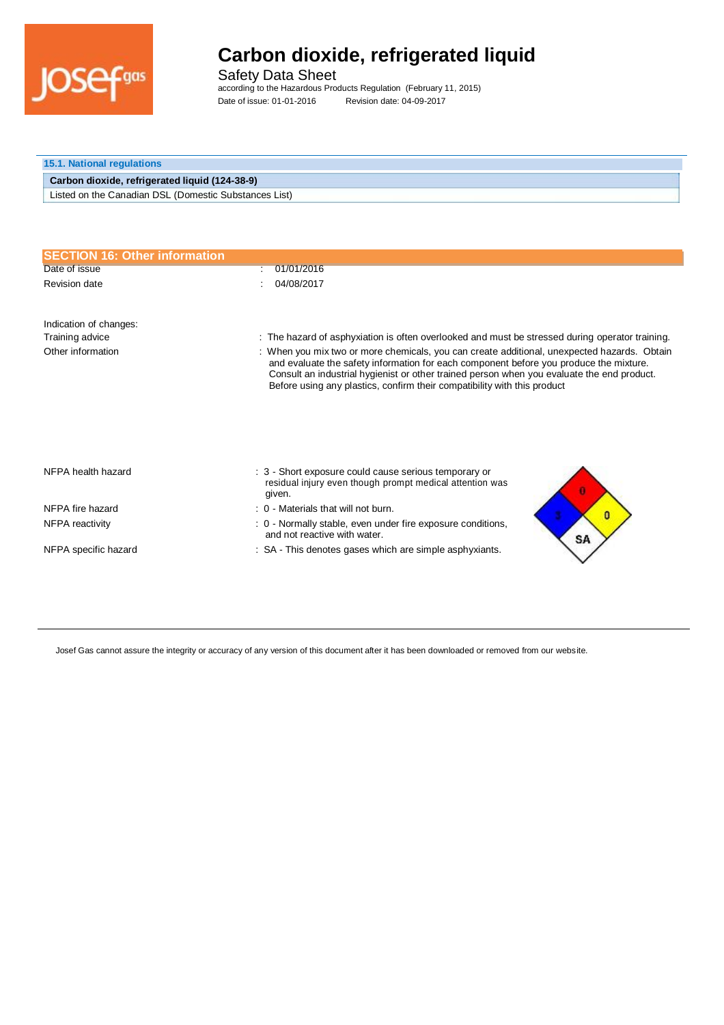

Safety Data Sheet according to the Hazardous Products Regulation (February 11, 2015) Date of issue: 01-01-2016 Revision date: 04-09-2017

| <b>15.1. National regulations</b>                     |  |
|-------------------------------------------------------|--|
| Carbon dioxide, refrigerated liquid (124-38-9)        |  |
| Listed on the Canadian DSL (Domestic Substances List) |  |

| <b>SECTION 16: Other information</b> |                                                                                                                                                                                                                                                                                                                                                                 |
|--------------------------------------|-----------------------------------------------------------------------------------------------------------------------------------------------------------------------------------------------------------------------------------------------------------------------------------------------------------------------------------------------------------------|
| Date of issue                        | 01/01/2016                                                                                                                                                                                                                                                                                                                                                      |
| Revision date                        | 04/08/2017                                                                                                                                                                                                                                                                                                                                                      |
| Indication of changes:               |                                                                                                                                                                                                                                                                                                                                                                 |
| Training advice                      | : The hazard of asphyxiation is often overlooked and must be stressed during operator training.                                                                                                                                                                                                                                                                 |
| Other information                    | : When you mix two or more chemicals, you can create additional, unexpected hazards. Obtain<br>and evaluate the safety information for each component before you produce the mixture.<br>Consult an industrial hygienist or other trained person when you evaluate the end product.<br>Before using any plastics, confirm their compatibility with this product |
| NFPA health hazard                   | : 3 - Short exposure could cause serious temporary or<br>residual injury even though prompt medical attention was<br>given.                                                                                                                                                                                                                                     |
| NFPA fire hazard                     | : 0 - Materials that will not burn.<br>Ω                                                                                                                                                                                                                                                                                                                        |
| NFPA reactivity                      | : 0 - Normally stable, even under fire exposure conditions,<br>and not reactive with water.<br>SA                                                                                                                                                                                                                                                               |
| NFPA specific hazard                 | : SA - This denotes gases which are simple asphyxiants.                                                                                                                                                                                                                                                                                                         |